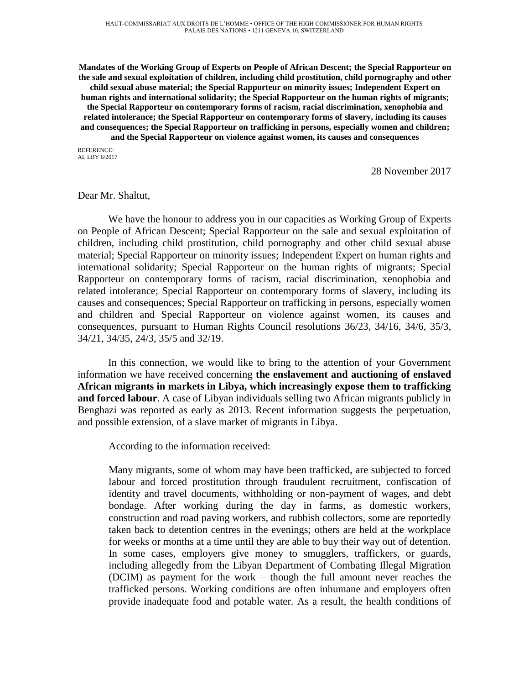**Mandates of the Working Group of Experts on People of African Descent; the Special Rapporteur on the sale and sexual exploitation of children, including child prostitution, child pornography and other child sexual abuse material; the Special Rapporteur on minority issues; Independent Expert on human rights and international solidarity; the Special Rapporteur on the human rights of migrants; the Special Rapporteur on contemporary forms of racism, racial discrimination, xenophobia and related intolerance; the Special Rapporteur on contemporary forms of slavery, including its causes and consequences; the Special Rapporteur on trafficking in persons, especially women and children; and the Special Rapporteur on violence against women, its causes and consequences**

REFERENCE: AL LBY 6/2017

28 November 2017

Dear Mr. Shaltut,

We have the honour to address you in our capacities as Working Group of Experts on People of African Descent; Special Rapporteur on the sale and sexual exploitation of children, including child prostitution, child pornography and other child sexual abuse material; Special Rapporteur on minority issues; Independent Expert on human rights and international solidarity; Special Rapporteur on the human rights of migrants; Special Rapporteur on contemporary forms of racism, racial discrimination, xenophobia and related intolerance; Special Rapporteur on contemporary forms of slavery, including its causes and consequences; Special Rapporteur on trafficking in persons, especially women and children and Special Rapporteur on violence against women, its causes and consequences, pursuant to Human Rights Council resolutions 36/23, 34/16, 34/6, 35/3, 34/21, 34/35, 24/3, 35/5 and 32/19.

In this connection, we would like to bring to the attention of your Government information we have received concerning **the enslavement and auctioning of enslaved African migrants in markets in Libya, which increasingly expose them to trafficking and forced labour**. A case of Libyan individuals selling two African migrants publicly in Benghazi was reported as early as 2013. Recent information suggests the perpetuation, and possible extension, of a slave market of migrants in Libya.

According to the information received:

Many migrants, some of whom may have been trafficked, are subjected to forced labour and forced prostitution through fraudulent recruitment, confiscation of identity and travel documents, withholding or non-payment of wages, and debt bondage. After working during the day in farms, as domestic workers, construction and road paving workers, and rubbish collectors, some are reportedly taken back to detention centres in the evenings; others are held at the workplace for weeks or months at a time until they are able to buy their way out of detention. In some cases, employers give money to smugglers, traffickers, or guards, including allegedly from the Libyan Department of Combating Illegal Migration (DCIM) as payment for the work – though the full amount never reaches the trafficked persons. Working conditions are often inhumane and employers often provide inadequate food and potable water. As a result, the health conditions of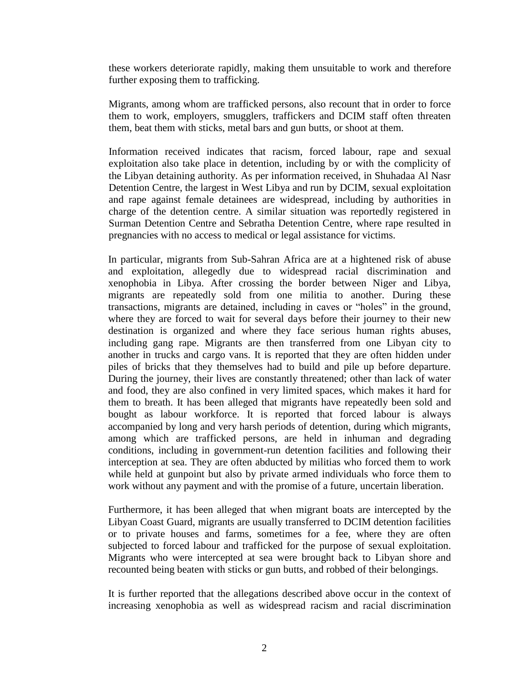these workers deteriorate rapidly, making them unsuitable to work and therefore further exposing them to trafficking.

Migrants, among whom are trafficked persons, also recount that in order to force them to work, employers, smugglers, traffickers and DCIM staff often threaten them, beat them with sticks, metal bars and gun butts, or shoot at them.

Information received indicates that racism, forced labour, rape and sexual exploitation also take place in detention, including by or with the complicity of the Libyan detaining authority. As per information received, in Shuhadaa Al Nasr Detention Centre, the largest in West Libya and run by DCIM, sexual exploitation and rape against female detainees are widespread, including by authorities in charge of the detention centre. A similar situation was reportedly registered in Surman Detention Centre and Sebratha Detention Centre, where rape resulted in pregnancies with no access to medical or legal assistance for victims.

In particular, migrants from Sub-Sahran Africa are at a hightened risk of abuse and exploitation, allegedly due to widespread racial discrimination and xenophobia in Libya. After crossing the border between Niger and Libya, migrants are repeatedly sold from one militia to another. During these transactions, migrants are detained, including in caves or "holes" in the ground, where they are forced to wait for several days before their journey to their new destination is organized and where they face serious human rights abuses, including gang rape. Migrants are then transferred from one Libyan city to another in trucks and cargo vans. It is reported that they are often hidden under piles of bricks that they themselves had to build and pile up before departure. During the journey, their lives are constantly threatened; other than lack of water and food, they are also confined in very limited spaces, which makes it hard for them to breath. It has been alleged that migrants have repeatedly been sold and bought as labour workforce. It is reported that forced labour is always accompanied by long and very harsh periods of detention, during which migrants, among which are trafficked persons, are held in inhuman and degrading conditions, including in government-run detention facilities and following their interception at sea. They are often abducted by militias who forced them to work while held at gunpoint but also by private armed individuals who force them to work without any payment and with the promise of a future, uncertain liberation.

Furthermore, it has been alleged that when migrant boats are intercepted by the Libyan Coast Guard, migrants are usually transferred to DCIM detention facilities or to private houses and farms, sometimes for a fee, where they are often subjected to forced labour and trafficked for the purpose of sexual exploitation. Migrants who were intercepted at sea were brought back to Libyan shore and recounted being beaten with sticks or gun butts, and robbed of their belongings.

It is further reported that the allegations described above occur in the context of increasing xenophobia as well as widespread racism and racial discrimination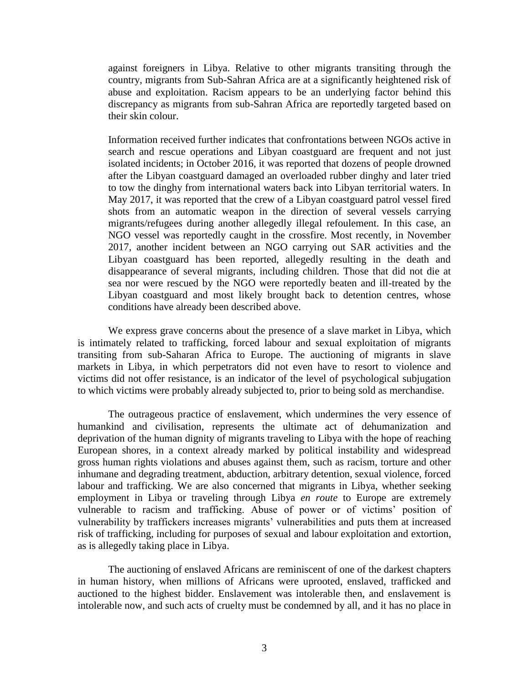against foreigners in Libya. Relative to other migrants transiting through the country, migrants from Sub-Sahran Africa are at a significantly heightened risk of abuse and exploitation. Racism appears to be an underlying factor behind this discrepancy as migrants from sub-Sahran Africa are reportedly targeted based on their skin colour.

Information received further indicates that confrontations between NGOs active in search and rescue operations and Libyan coastguard are frequent and not just isolated incidents; in October 2016, it was reported that dozens of people drowned after the Libyan coastguard damaged an overloaded rubber dinghy and later tried to tow the dinghy from international waters back into Libyan territorial waters. In May 2017, it was reported that the crew of a Libyan coastguard patrol vessel fired shots from an automatic weapon in the direction of several vessels carrying migrants/refugees during another allegedly illegal refoulement. In this case, an NGO vessel was reportedly caught in the crossfire. Most recently, in November 2017, another incident between an NGO carrying out SAR activities and the Libyan coastguard has been reported, allegedly resulting in the death and disappearance of several migrants, including children. Those that did not die at sea nor were rescued by the NGO were reportedly beaten and ill-treated by the Libyan coastguard and most likely brought back to detention centres, whose conditions have already been described above.

We express grave concerns about the presence of a slave market in Libya, which is intimately related to trafficking, forced labour and sexual exploitation of migrants transiting from sub-Saharan Africa to Europe. The auctioning of migrants in slave markets in Libya, in which perpetrators did not even have to resort to violence and victims did not offer resistance, is an indicator of the level of psychological subjugation to which victims were probably already subjected to, prior to being sold as merchandise.

The outrageous practice of enslavement, which undermines the very essence of humankind and civilisation, represents the ultimate act of dehumanization and deprivation of the human dignity of migrants traveling to Libya with the hope of reaching European shores, in a context already marked by political instability and widespread gross human rights violations and abuses against them, such as racism, torture and other inhumane and degrading treatment, abduction, arbitrary detention, sexual violence, forced labour and trafficking. We are also concerned that migrants in Libya, whether seeking employment in Libya or traveling through Libya *en route* to Europe are extremely vulnerable to racism and trafficking. Abuse of power or of victims' position of vulnerability by traffickers increases migrants' vulnerabilities and puts them at increased risk of trafficking, including for purposes of sexual and labour exploitation and extortion, as is allegedly taking place in Libya.

The auctioning of enslaved Africans are reminiscent of one of the darkest chapters in human history, when millions of Africans were uprooted, enslaved, trafficked and auctioned to the highest bidder. Enslavement was intolerable then, and enslavement is intolerable now, and such acts of cruelty must be condemned by all, and it has no place in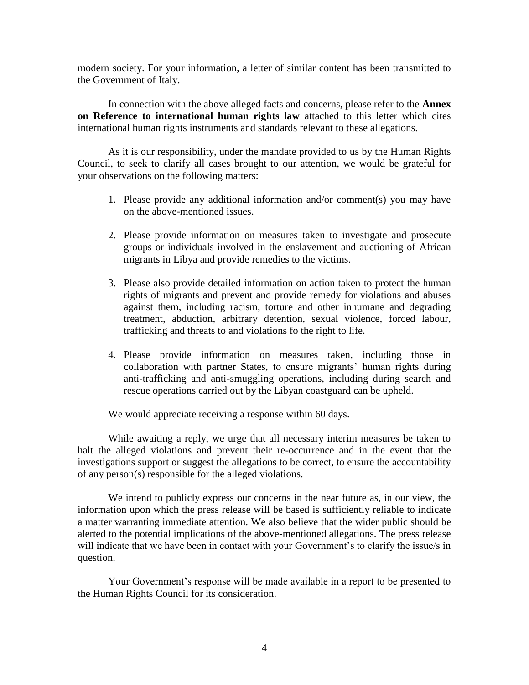modern society. For your information, a letter of similar content has been transmitted to the Government of Italy.

In connection with the above alleged facts and concerns, please refer to the **Annex on Reference to international human rights law** attached to this letter which cites international human rights instruments and standards relevant to these allegations.

As it is our responsibility, under the mandate provided to us by the Human Rights Council, to seek to clarify all cases brought to our attention, we would be grateful for your observations on the following matters:

- 1. Please provide any additional information and/or comment(s) you may have on the above-mentioned issues.
- 2. Please provide information on measures taken to investigate and prosecute groups or individuals involved in the enslavement and auctioning of African migrants in Libya and provide remedies to the victims.
- 3. Please also provide detailed information on action taken to protect the human rights of migrants and prevent and provide remedy for violations and abuses against them, including racism, torture and other inhumane and degrading treatment, abduction, arbitrary detention, sexual violence, forced labour, trafficking and threats to and violations fo the right to life.
- 4. Please provide information on measures taken, including those in collaboration with partner States, to ensure migrants' human rights during anti-trafficking and anti-smuggling operations, including during search and rescue operations carried out by the Libyan coastguard can be upheld.

We would appreciate receiving a response within 60 days.

While awaiting a reply, we urge that all necessary interim measures be taken to halt the alleged violations and prevent their re-occurrence and in the event that the investigations support or suggest the allegations to be correct, to ensure the accountability of any person(s) responsible for the alleged violations.

We intend to publicly express our concerns in the near future as, in our view, the information upon which the press release will be based is sufficiently reliable to indicate a matter warranting immediate attention. We also believe that the wider public should be alerted to the potential implications of the above-mentioned allegations. The press release will indicate that we have been in contact with your Government's to clarify the issue/s in question.

Your Government's response will be made available in a report to be presented to the Human Rights Council for its consideration.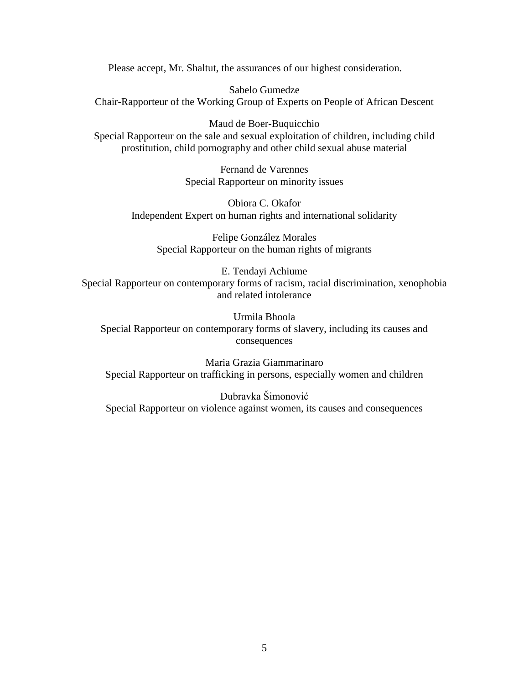Please accept, Mr. Shaltut, the assurances of our highest consideration.

Sabelo Gumedze Chair-Rapporteur of the Working Group of Experts on People of African Descent

Maud de Boer-Buquicchio Special Rapporteur on the sale and sexual exploitation of children, including child prostitution, child pornography and other child sexual abuse material

> Fernand de Varennes Special Rapporteur on minority issues

Obiora C. Okafor Independent Expert on human rights and international solidarity

Felipe González Morales Special Rapporteur on the human rights of migrants

E. Tendayi Achiume Special Rapporteur on contemporary forms of racism, racial discrimination, xenophobia and related intolerance

Urmila Bhoola Special Rapporteur on contemporary forms of slavery, including its causes and consequences

Maria Grazia Giammarinaro Special Rapporteur on trafficking in persons, especially women and children

Dubravka Šimonović Special Rapporteur on violence against women, its causes and consequences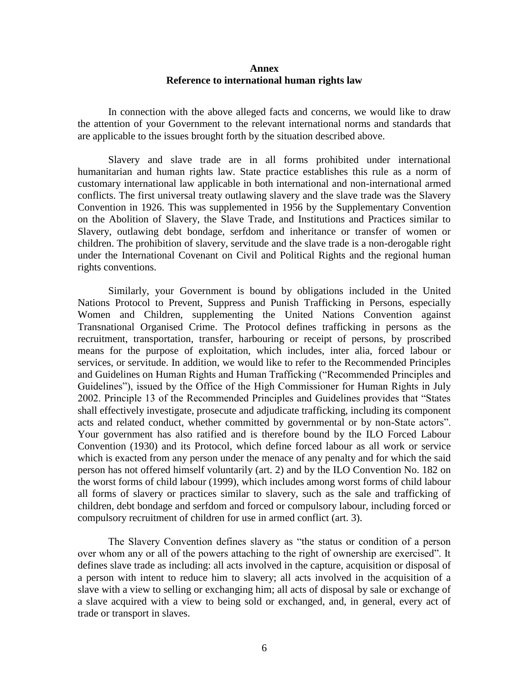## **Annex Reference to international human rights law**

In connection with the above alleged facts and concerns, we would like to draw the attention of your Government to the relevant international norms and standards that are applicable to the issues brought forth by the situation described above.

Slavery and slave trade are in all forms prohibited under international humanitarian and human rights law. State practice establishes this rule as a norm of customary international law applicable in both international and non-international armed conflicts. The first universal treaty outlawing slavery and the slave trade was the Slavery Convention in 1926. This was supplemented in 1956 by the Supplementary Convention on the Abolition of Slavery, the Slave Trade, and Institutions and Practices similar to Slavery, outlawing debt bondage, serfdom and inheritance or transfer of women or children. The prohibition of slavery, servitude and the slave trade is a non-derogable right under the International Covenant on Civil and Political Rights and the regional human rights conventions.

Similarly, your Government is bound by obligations included in the United Nations Protocol to Prevent, Suppress and Punish Trafficking in Persons, especially Women and Children, supplementing the United Nations Convention against Transnational Organised Crime. The Protocol defines trafficking in persons as the recruitment, transportation, transfer, harbouring or receipt of persons, by proscribed means for the purpose of exploitation, which includes, inter alia, forced labour or services, or servitude. In addition, we would like to refer to the Recommended Principles and Guidelines on Human Rights and Human Trafficking ("Recommended Principles and Guidelines"), issued by the Office of the High Commissioner for Human Rights in July 2002. Principle 13 of the Recommended Principles and Guidelines provides that "States shall effectively investigate, prosecute and adjudicate trafficking, including its component acts and related conduct, whether committed by governmental or by non-State actors". Your government has also ratified and is therefore bound by the ILO Forced Labour Convention (1930) and its Protocol, which define forced labour as all work or service which is exacted from any person under the menace of any penalty and for which the said person has not offered himself voluntarily (art. 2) and by the ILO Convention No. 182 on the worst forms of child labour (1999), which includes among worst forms of child labour all forms of slavery or practices similar to slavery, such as the sale and trafficking of children, debt bondage and serfdom and forced or compulsory labour, including forced or compulsory recruitment of children for use in armed conflict (art. 3).

The Slavery Convention defines slavery as "the status or condition of a person over whom any or all of the powers attaching to the right of ownership are exercised". It defines slave trade as including: all acts involved in the capture, acquisition or disposal of a person with intent to reduce him to slavery; all acts involved in the acquisition of a slave with a view to selling or exchanging him; all acts of disposal by sale or exchange of a slave acquired with a view to being sold or exchanged, and, in general, every act of trade or transport in slaves.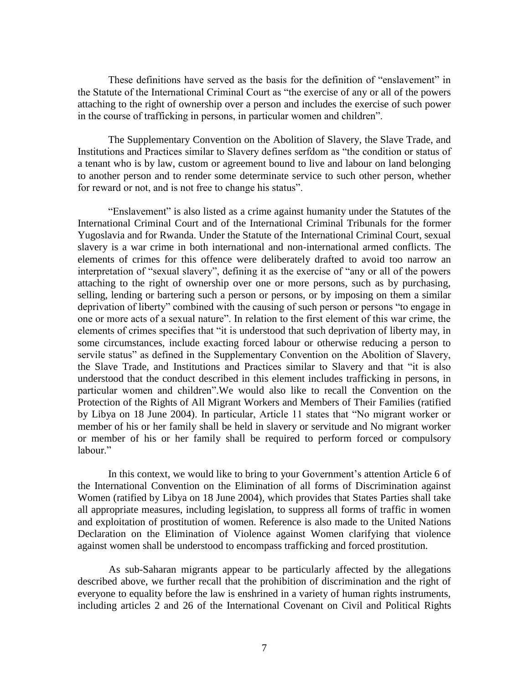These definitions have served as the basis for the definition of "enslavement" in the Statute of the International Criminal Court as "the exercise of any or all of the powers attaching to the right of ownership over a person and includes the exercise of such power in the course of trafficking in persons, in particular women and children".

The Supplementary Convention on the Abolition of Slavery, the Slave Trade, and Institutions and Practices similar to Slavery defines serfdom as "the condition or status of a tenant who is by law, custom or agreement bound to live and labour on land belonging to another person and to render some determinate service to such other person, whether for reward or not, and is not free to change his status".

"Enslavement" is also listed as a crime against humanity under the Statutes of the International Criminal Court and of the International Criminal Tribunals for the former Yugoslavia and for Rwanda. Under the Statute of the International Criminal Court, sexual slavery is a war crime in both international and non-international armed conflicts. The elements of crimes for this offence were deliberately drafted to avoid too narrow an interpretation of "sexual slavery", defining it as the exercise of "any or all of the powers attaching to the right of ownership over one or more persons, such as by purchasing, selling, lending or bartering such a person or persons, or by imposing on them a similar deprivation of liberty" combined with the causing of such person or persons "to engage in one or more acts of a sexual nature". In relation to the first element of this war crime, the elements of crimes specifies that "it is understood that such deprivation of liberty may, in some circumstances, include exacting forced labour or otherwise reducing a person to servile status" as defined in the Supplementary Convention on the Abolition of Slavery, the Slave Trade, and Institutions and Practices similar to Slavery and that "it is also understood that the conduct described in this element includes trafficking in persons, in particular women and children".We would also like to recall the Convention on the Protection of the Rights of All Migrant Workers and Members of Their Families (ratified by Libya on 18 June 2004). In particular, Article 11 states that "No migrant worker or member of his or her family shall be held in slavery or servitude and No migrant worker or member of his or her family shall be required to perform forced or compulsory labour<sup>"</sup>

In this context, we would like to bring to your Government's attention Article 6 of the International Convention on the Elimination of all forms of Discrimination against Women (ratified by Libya on 18 June 2004), which provides that States Parties shall take all appropriate measures, including legislation, to suppress all forms of traffic in women and exploitation of prostitution of women. Reference is also made to the United Nations Declaration on the Elimination of Violence against Women clarifying that violence against women shall be understood to encompass trafficking and forced prostitution.

As sub-Saharan migrants appear to be particularly affected by the allegations described above, we further recall that the prohibition of discrimination and the right of everyone to equality before the law is enshrined in a variety of human rights instruments, including articles 2 and 26 of the International Covenant on Civil and Political Rights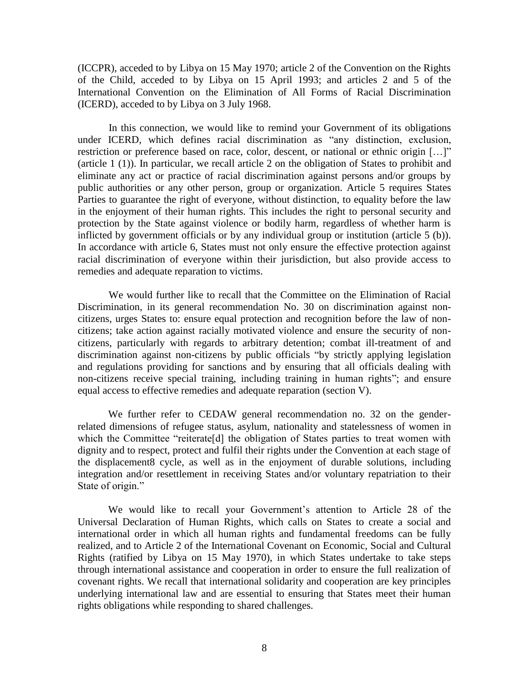(ICCPR), acceded to by Libya on 15 May 1970; article 2 of the Convention on the Rights of the Child, acceded to by Libya on 15 April 1993; and articles 2 and 5 of the International Convention on the Elimination of All Forms of Racial Discrimination (ICERD), acceded to by Libya on 3 July 1968.

In this connection, we would like to remind your Government of its obligations under ICERD, which defines racial discrimination as "any distinction, exclusion, restriction or preference based on race, color, descent, or national or ethnic origin […]" (article 1 (1)). In particular, we recall article 2 on the obligation of States to prohibit and eliminate any act or practice of racial discrimination against persons and/or groups by public authorities or any other person, group or organization. Article 5 requires States Parties to guarantee the right of everyone, without distinction, to equality before the law in the enjoyment of their human rights. This includes the right to personal security and protection by the State against violence or bodily harm, regardless of whether harm is inflicted by government officials or by any individual group or institution (article 5 (b)). In accordance with article 6, States must not only ensure the effective protection against racial discrimination of everyone within their jurisdiction, but also provide access to remedies and adequate reparation to victims.

We would further like to recall that the Committee on the Elimination of Racial Discrimination, in its general recommendation No. 30 on discrimination against noncitizens, urges States to: ensure equal protection and recognition before the law of noncitizens; take action against racially motivated violence and ensure the security of noncitizens, particularly with regards to arbitrary detention; combat ill-treatment of and discrimination against non-citizens by public officials "by strictly applying legislation and regulations providing for sanctions and by ensuring that all officials dealing with non-citizens receive special training, including training in human rights"; and ensure equal access to effective remedies and adequate reparation (section V).

We further refer to CEDAW general recommendation no. 32 on the genderrelated dimensions of refugee status, asylum, nationality and statelessness of women in which the Committee "reiterate<sup>[d]</sup> the obligation of States parties to treat women with dignity and to respect, protect and fulfil their rights under the Convention at each stage of the displacement8 cycle, as well as in the enjoyment of durable solutions, including integration and/or resettlement in receiving States and/or voluntary repatriation to their State of origin."

We would like to recall your Government's attention to Article 28 of the Universal Declaration of Human Rights, which calls on States to create a social and international order in which all human rights and fundamental freedoms can be fully realized, and to Article 2 of the International Covenant on Economic, Social and Cultural Rights (ratified by Libya on 15 May 1970), in which States undertake to take steps through international assistance and cooperation in order to ensure the full realization of covenant rights. We recall that international solidarity and cooperation are key principles underlying international law and are essential to ensuring that States meet their human rights obligations while responding to shared challenges.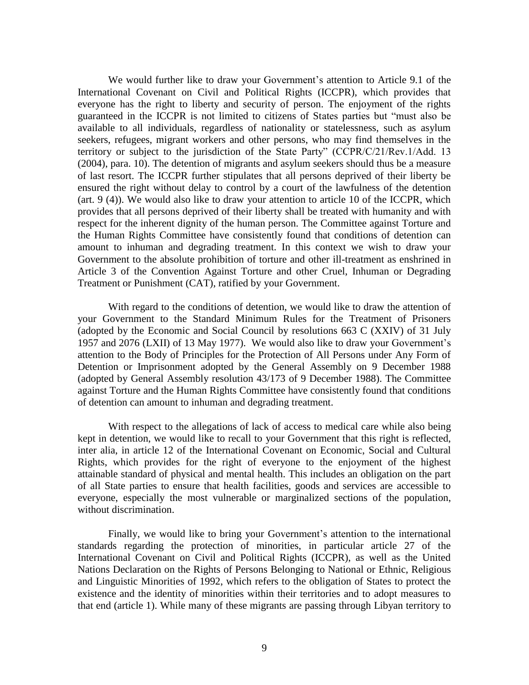We would further like to draw your Government's attention to Article 9.1 of the International Covenant on Civil and Political Rights (ICCPR), which provides that everyone has the right to liberty and security of person. The enjoyment of the rights guaranteed in the ICCPR is not limited to citizens of States parties but "must also be available to all individuals, regardless of nationality or statelessness, such as asylum seekers, refugees, migrant workers and other persons, who may find themselves in the territory or subject to the jurisdiction of the State Party" (CCPR/C/21/Rev.1/Add. 13 (2004), para. 10). The detention of migrants and asylum seekers should thus be a measure of last resort. The ICCPR further stipulates that all persons deprived of their liberty be ensured the right without delay to control by a court of the lawfulness of the detention (art. 9 (4)). We would also like to draw your attention to article 10 of the ICCPR, which provides that all persons deprived of their liberty shall be treated with humanity and with respect for the inherent dignity of the human person. The Committee against Torture and the Human Rights Committee have consistently found that conditions of detention can amount to inhuman and degrading treatment. In this context we wish to draw your Government to the absolute prohibition of torture and other ill-treatment as enshrined in Article 3 of the Convention Against Torture and other Cruel, Inhuman or Degrading Treatment or Punishment (CAT), ratified by your Government.

With regard to the conditions of detention, we would like to draw the attention of your Government to the Standard Minimum Rules for the Treatment of Prisoners (adopted by the Economic and Social Council by resolutions 663 C (XXIV) of 31 July 1957 and 2076 (LXII) of 13 May 1977). We would also like to draw your Government's attention to the Body of Principles for the Protection of All Persons under Any Form of Detention or Imprisonment adopted by the General Assembly on 9 December 1988 (adopted by General Assembly resolution 43/173 of 9 December 1988). The Committee against Torture and the Human Rights Committee have consistently found that conditions of detention can amount to inhuman and degrading treatment.

With respect to the allegations of lack of access to medical care while also being kept in detention, we would like to recall to your Government that this right is reflected, inter alia, in article 12 of the International Covenant on Economic, Social and Cultural Rights, which provides for the right of everyone to the enjoyment of the highest attainable standard of physical and mental health. This includes an obligation on the part of all State parties to ensure that health facilities, goods and services are accessible to everyone, especially the most vulnerable or marginalized sections of the population, without discrimination.

Finally, we would like to bring your Government's attention to the international standards regarding the protection of minorities, in particular article 27 of the International Covenant on Civil and Political Rights (ICCPR), as well as the United Nations Declaration on the Rights of Persons Belonging to National or Ethnic, Religious and Linguistic Minorities of 1992, which refers to the obligation of States to protect the existence and the identity of minorities within their territories and to adopt measures to that end (article 1). While many of these migrants are passing through Libyan territory to